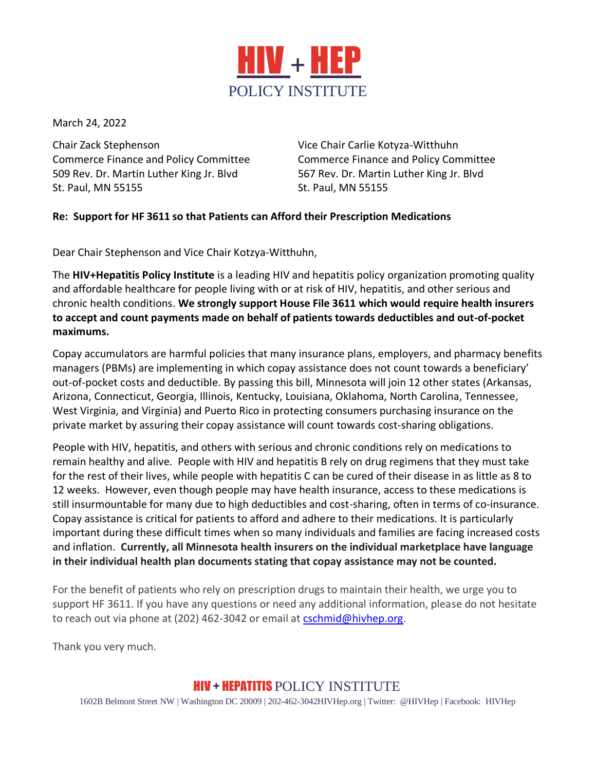

March 24, 2022

Chair Zack Stephenson Vice Chair Carlie Kotyza-Witthuhn Commerce Finance and Policy Committee Commerce Finance and Policy Committee 509 Rev. Dr. Martin Luther King Jr. Blvd 567 Rev. Dr. Martin Luther King Jr. Blvd St. Paul, MN 55155 St. Paul, MN 55155

## **Re: Support for HF 3611 so that Patients can Afford their Prescription Medications**

Dear Chair Stephenson and Vice Chair Kotzya-Witthuhn,

The **HIV+Hepatitis Policy Institute** is a leading HIV and hepatitis policy organization promoting quality and affordable healthcare for people living with or at risk of HIV, hepatitis, and other serious and chronic health conditions. **We strongly support House File 3611 which would require health insurers to accept and count payments made on behalf of patients towards deductibles and out-of-pocket maximums.**

Copay accumulators are harmful policies that many insurance plans, employers, and pharmacy benefits managers (PBMs) are implementing in which copay assistance does not count towards a beneficiary' out-of-pocket costs and deductible. By passing this bill, Minnesota will join 12 other states (Arkansas, Arizona, Connecticut, Georgia, Illinois, Kentucky, Louisiana, Oklahoma, North Carolina, Tennessee, West Virginia, and Virginia) and Puerto Rico in protecting consumers purchasing insurance on the private market by assuring their copay assistance will count towards cost-sharing obligations.

People with HIV, hepatitis, and others with serious and chronic conditions rely on medications to remain healthy and alive. People with HIV and hepatitis B rely on drug regimens that they must take for the rest of their lives, while people with hepatitis C can be cured of their disease in as little as 8 to 12 weeks. However, even though people may have health insurance, access to these medications is still insurmountable for many due to high deductibles and cost-sharing, often in terms of co-insurance. Copay assistance is critical for patients to afford and adhere to their medications. It is particularly important during these difficult times when so many individuals and families are facing increased costs and inflation. **Currently, all Minnesota health insurers on the individual marketplace have language in their individual health plan documents stating that copay assistance may not be counted.**

For the benefit of patients who rely on prescription drugs to maintain their health, we urge you to support HF 3611. If you have any questions or need any additional information, please do not hesitate to reach out via phone at (202) 462-3042 or email at [cschmid@hivhep.org.](mailto:cschmid@hivhep.org)

Thank you very much.

## HIV + HEPATITIS POLICY INSTITUTE

1602B Belmont Street NW | Washington DC 20009 | 202-462-3042HIVHep.org | Twitter: @HIVHep | Facebook: HIVHep